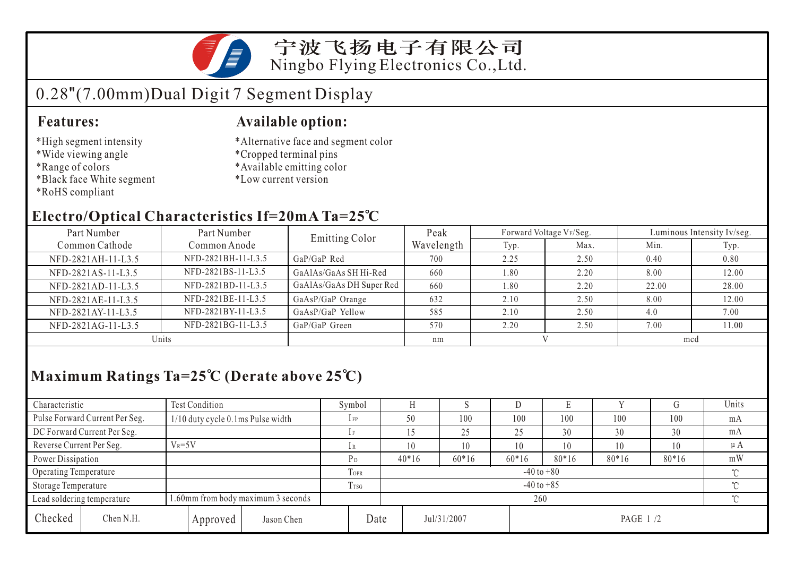

### 宁波飞扬电子有限公司 Ningbo Flying Electronics Co.,Ltd.

# 0.28"(7.00mm)Dual Digit 7 Segment Display

#### **Features:**

- \*High segment intensity
- \*Wide viewing angle
- \*Range of colors
- \*Black face White segment
- \*RoHS compliant

#### **Available option:**

- \*Alternative face and segment color
- \*Cropped terminal pins
- \*Available emitting color
- \*Low current version

### **Electro/Optical Characteristics If=20mA Ta=25 C**

| Part Number        | Part Number        | <b>Emitting Color</b>    | Peak       |      | Forward Voltage VF/Seg. | Luminous Intensity Iv/seg. |       |  |
|--------------------|--------------------|--------------------------|------------|------|-------------------------|----------------------------|-------|--|
| Common Cathode     | Common Anode       |                          | Wavelength | Typ. | Max.                    | Min.                       | Typ.  |  |
| NFD-2821AH-11-L3.5 | NFD-2821BH-11-L3.5 | GaP/GaP Red              | 700        | 2.25 | 2.50                    | 0.40                       | 0.80  |  |
| NFD-2821AS-11-L3.5 | NFD-2821BS-11-L3.5 | GaAlAs/GaAs SH Hi-Red    | 660        | 1.80 | 2.20                    | 8.00                       | 12.00 |  |
| NFD-2821AD-11-L3.5 | NFD-2821BD-11-L3.5 | GaAlAs/GaAs DH Super Red | 660        | 1.80 | 2.20                    | 22.00                      | 28.00 |  |
| NFD-2821AE-11-L3.5 | NFD-2821BE-11-L3.5 | GaAsP/GaP Orange         | 632        | 2.10 | 2.50                    | 8.00                       | 12.00 |  |
| NFD-2821AY-11-L3.5 | NFD-2821BY-11-L3.5 | GaAsP/GaP Yellow         | 585        | 2.10 | 2.50                    | 4.0                        | 7.00  |  |
| NFD-2821AG-11-L3.5 | NFD-2821BG-11-L3.5 | GaP/GaP Green            | 570        | 2.20 | 2.50                    | 7.00                       | 11.00 |  |
| Units              |                    |                          | nm         |      |                         | mcd                        |       |  |

## **Maximum Ratings Ta=25 C (Derate above 25 C)**

| Characteristic           |                                                                  | <b>Test Condition</b>             |            |             | Symbol         |             |         | ◡       |           |         |         | Units   |  |
|--------------------------|------------------------------------------------------------------|-----------------------------------|------------|-------------|----------------|-------------|---------|---------|-----------|---------|---------|---------|--|
|                          | Pulse Forward Current Per Seg.                                   | 1/10 duty cycle 0.1ms Pulse width |            |             | $1$ FP         | 50          | 100     | 100     | 100       | 100     | 100     | mA      |  |
|                          | DC Forward Current Per Seg.                                      |                                   |            |             |                |             | 25      | 25      | 30        | 30      | 30      | mA      |  |
| Reverse Current Per Seg. |                                                                  | $V_R = 5V$                        |            |             | 1R             |             | 10      | 10      | 10        | 10      | 10      | $\mu A$ |  |
| Power Dissipation        |                                                                  |                                   |            |             | P <sub>D</sub> | $40*16$     | $60*16$ | $60*16$ | $80*16$   | $80*16$ | $80*16$ | mW      |  |
| Operating Temperature    |                                                                  |                                   |            | <b>TOPR</b> | $-40$ to $+80$ |             |         |         |           |         | $\sim$  |         |  |
| Storage Temperature      |                                                                  |                                   |            | Trsg        | $-40$ to $+85$ |             |         |         |           |         |         |         |  |
|                          | 1.60mm from body maximum 3 seconds<br>Lead soldering temperature |                                   |            |             |                | 260         |         |         |           |         |         |         |  |
| Checked                  | Chen N.H.                                                        | Approved                          | Jason Chen | Date        |                | Jul/31/2007 |         |         | PAGE 1 /2 |         |         |         |  |